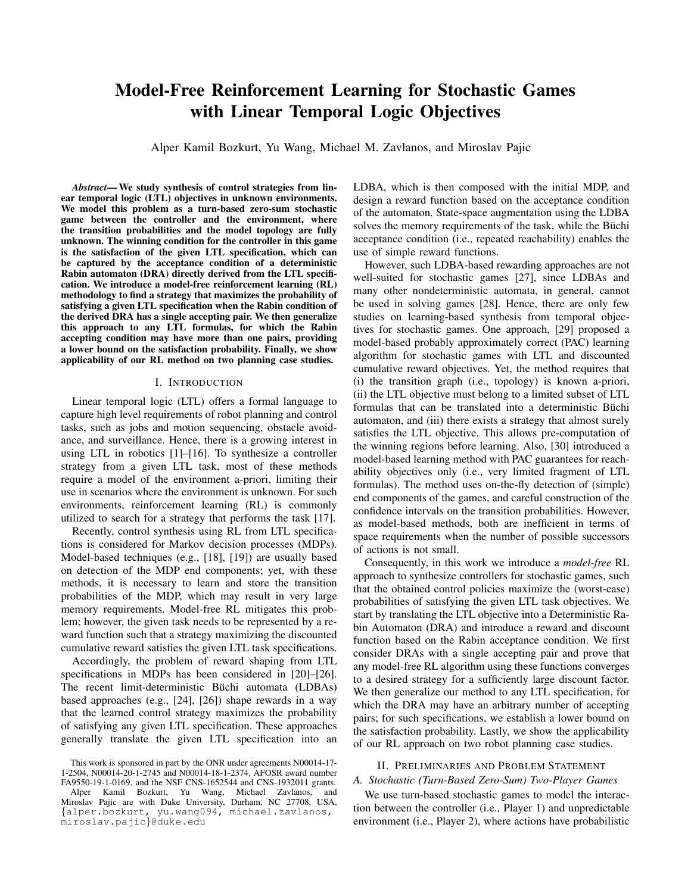# Model-Free Reinforcement Learning for Stochastic Games with Linear Temporal Logic Objectives

Alper Kamil Bozkurt, Yu Wang, Michael M. Zavlanos, and Miroslav Pajic

*Abstract*— We study synthesis of control strategies from linear temporal logic (LTL) objectives in unknown environments. We model this problem as a turn-based zero-sum stochastic game between the controller and the environment, where the transition probabilities and the model topology are fully unknown. The winning condition for the controller in this game is the satisfaction of the given LTL specification, which can be captured by the acceptance condition of a deterministic Rabin automaton (DRA) directly derived from the LTL specification. We introduce a model-free reinforcement learning (RL) methodology to find a strategy that maximizes the probability of satisfying a given LTL specification when the Rabin condition of the derived DRA has a single accepting pair. We then generalize this approach to any LTL formulas, for which the Rabin accepting condition may have more than one pairs, providing a lower bound on the satisfaction probability. Finally, we show applicability of our RL method on two planning case studies.

### I. INTRODUCTION

Linear temporal logic (LTL) offers a formal language to capture high level requirements of robot planning and control tasks, such as jobs and motion sequencing, obstacle avoidance, and surveillance. Hence, there is a growing interest in using LTL in robotics [1]–[16]. To synthesize a controller strategy from a given LTL task, most of these methods require a model of the environment a-priori, limiting their use in scenarios where the environment is unknown. For such environments, reinforcement learning (RL) is commonly utilized to search for a strategy that performs the task [17].

Recently, control synthesis using RL from LTL specifications is considered for Markov decision processes (MDPs). Model-based techniques (e.g., [18], [19]) are usually based on detection of the MDP end components; yet, with these methods, it is necessary to learn and store the transition probabilities of the MDP, which may result in very large memory requirements. Model-free RL mitigates this problem; however, the given task needs to be represented by a reward function such that a strategy maximizing the discounted cumulative reward satisfies the given LTL task specifications.

Accordingly, the problem of reward shaping from LTL specifications in MDPs has been considered in [20]–[26]. The recent limit-deterministic Büchi automata (LDBAs) based approaches (e.g., [24], [26]) shape rewards in a way that the learned control strategy maximizes the probability of satisfying any given LTL specification. These approaches generally translate the given LTL specification into an LDBA, which is then composed with the initial MDP, and design a reward function based on the acceptance condition of the automaton. State-space augmentation using the LDBA solves the memory requirements of the task, while the Büchi acceptance condition (i.e., repeated reachability) enables the use of simple reward functions.

However, such LDBA-based rewarding approaches are not well-suited for stochastic games [27], since LDBAs and many other nondeterministic automata, in general, cannot be used in solving games [28]. Hence, there are only few studies on learning-based synthesis from temporal objectives for stochastic games. One approach, [29] proposed a model-based probably approximately correct (PAC) learning algorithm for stochastic games with LTL and discounted cumulative reward objectives. Yet, the method requires that (i) the transition graph (i.e., topology) is known a-priori, (ii) the LTL objective must belong to a limited subset of LTL formulas that can be translated into a deterministic Büchi automaton, and (iii) there exists a strategy that almost surely satisfies the LTL objective. This allows pre-computation of the winning regions before learning. Also, [30] introduced a model-based learning method with PAC guarantees for reachability objectives only (i.e., very limited fragment of LTL formulas). The method uses on-the-fly detection of (simple) end components of the games, and careful construction of the confidence intervals on the transition probabilities. However, as model-based methods, both are inefficient in terms of space requirements when the number of possible successors of actions is not small.

Consequently, in this work we introduce a *model-free* RL approach to synthesize controllers for stochastic games, such that the obtained control policies maximize the (worst-case) probabilities of satisfying the given LTL task objectives. We start by translating the LTL objective into a Deterministic Rabin Automaton (DRA) and introduce a reward and discount function based on the Rabin acceptance condition. We first consider DRAs with a single accepting pair and prove that any model-free RL algorithm using these functions converges to a desired strategy for a sufficiently large discount factor. We then generalize our method to any LTL specification, for which the DRA may have an arbitrary number of accepting pairs; for such specifications, we establish a lower bound on the satisfaction probability. Lastly, we show the applicability of our RL approach on two robot planning case studies.

# II. PRELIMINARIES AND PROBLEM STATEMENT

# *A. Stochastic (Turn-Based Zero-Sum) Two-Player Games*

We use turn-based stochastic games to model the interaction between the controller (i.e., Player 1) and unpredictable environment (i.e., Player 2), where actions have probabilistic

This work is sponsored in part by the ONR under agreements N00014-17- 1-2504, N00014-20-1-2745 and N00014-18-1-2374, AFOSR award number FA9550-19-1-0169, and the NSF CNS-1652544 and CNS-1932011 grants. Alper Kamil Bozkurt, Yu Wang, Michael Zavlanos, and Miroslav Pajic are with Duke University, Durham, NC 27708, USA, {alper.bozkurt, yu.wang094, michael.zavlanos, miroslav.pajic}@duke.edu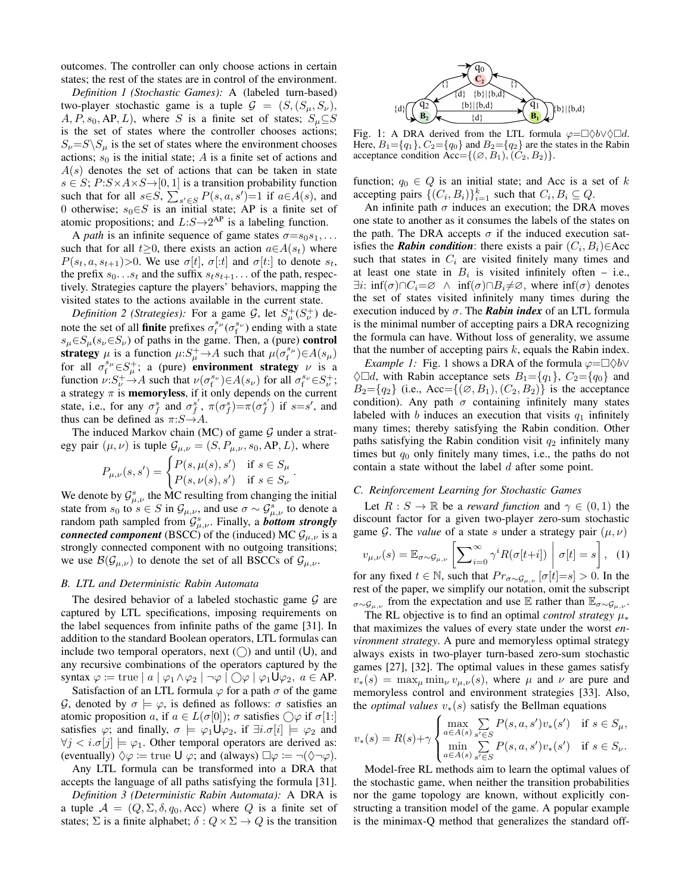outcomes. The controller can only choose actions in certain states; the rest of the states are in control of the environment.

*Definition 1 (Stochastic Games):* A (labeled turn-based) two-player stochastic game is a tuple  $\mathcal{G} = (S, (S_{\mu}, S_{\nu}))$ ,  $A, P, s_0, AP, L$ , where S is a finite set of states;  $S_u \subseteq S$ is the set of states where the controller chooses actions;  $S_{\nu} = S \ S_{\mu}$  is the set of states where the environment chooses actions;  $s_0$  is the initial state; A is a finite set of actions and  $A(s)$  denotes the set of actions that can be taken in state  $s \in S$ ;  $P: S \times A \times S \rightarrow [0, 1]$  is a transition probability function such that for all  $s \in S$ ,  $\sum_{s' \in S} P(s, a, s') = 1$  if  $a \in A(s)$ , and 0 otherwise;  $s_0 \in S$  is an initial state; AP is a finite set of atomic propositions; and  $L: S \rightarrow 2^{AP}$  is a labeling function.

A *path* is an infinite sequence of game states  $\sigma = s_0 s_1, \ldots$ such that for all  $t\geq 0$ , there exists an action  $a\in A(s_t)$  where  $P(s_t, a, s_{t+1}) > 0$ . We use  $\sigma[t], \sigma[t]$  and  $\sigma[t]$  to denote  $s_t$ , the prefix  $s_0 \tcdot s_t$  and the suffix  $s_t s_{t+1} \tcdot s_t$  of the path, respectively. Strategies capture the players' behaviors, mapping the visited states to the actions available in the current state.

*Definition 2 (Strategies):* For a game  $\mathcal{G}$ , let  $S^+_{\mu}(S^+_{\nu})$  denote the set of all **finite** prefixes  $\sigma_f^{s_\mu}(\sigma_f^{s_\nu})$  ending with a state  $s_{\mu} \in S_{\mu}(s_{\nu} \in S_{\nu})$  of paths in the game. Then, a (pure) control strategy  $\mu$  is a function  $\mu: S^+_\mu \to A$  such that  $\mu(\sigma_f^{s\mu}) \in A(s\mu)$ for all  $\sigma_f^{s_\mu} \in S_\mu^+$ ; a (pure) environment strategy  $\nu$  is a function  $\nu: S^+_{\nu} \to A$  such that  $\nu(\sigma_f^{s_{\nu}}) \in A(s_{\nu})$  for all  $\sigma_f^{s_{\nu}} \in S^+_{\nu}$ ; a strategy  $\pi$  is **memoryless**, if it only depends on the current state, i.e., for any  $\sigma_f^s$  and  $\sigma_f^{s'}$ ,  $\pi(\sigma_f^s) = \pi(\sigma_f^{s'})$  if  $s = s'$ , and thus can be defined as  $\pi: S \rightarrow A$ .

The induced Markov chain (MC) of game  $G$  under a strategy pair  $(\mu, \nu)$  is tuple  $\mathcal{G}_{\mu,\nu} = (S, P_{\mu,\nu}, s_0, \text{AP}, L)$ , where

$$
P_{\mu,\nu}(s,s') = \begin{cases} P(s,\mu(s),s') & \text{if } s \in S_{\mu} \\ P(s,\nu(s),s') & \text{if } s \in S_{\nu} \end{cases}.
$$

We denote by  $\mathcal{G}_{\mu,\nu}^s$  the MC resulting from changing the initial state from  $s_0$  to  $s \in S$  in  $\mathcal{G}_{\mu,\nu}$ , and use  $\sigma \sim \mathcal{G}_{\mu,\nu}^s$  to denote a random path sampled from  $\mathcal{G}_{\mu,\nu}^s$ . Finally, a *bottom strongly connected component* (BSCC) of the (induced) MC  $\mathcal{G}_{\mu,\nu}$  is a strongly connected component with no outgoing transitions; we use  $\mathcal{B}(\mathcal{G}_{\mu,\nu})$  to denote the set of all BSCCs of  $\mathcal{G}_{\mu,\nu}$ .

# *B. LTL and Deterministic Rabin Automata*

The desired behavior of a labeled stochastic game  $G$  are captured by LTL specifications, imposing requirements on the label sequences from infinite paths of the game [31]. In addition to the standard Boolean operators, LTL formulas can include two temporal operators, next  $(\bigcirc)$  and until  $(U)$ , and any recursive combinations of the operators captured by the syntax  $\varphi \coloneqq \text{true} \mid a \mid \varphi_1 \wedge \varphi_2 \mid \neg \varphi \mid \bigcirc \varphi \mid \varphi_1 \mathsf{U} \varphi_2, a \in \mathsf{AP}.$ 

Satisfaction of an LTL formula  $\varphi$  for a path  $\sigma$  of the game G, denoted by  $\sigma \models \varphi$ , is defined as follows:  $\sigma$  satisfies an atomic proposition a, if  $a \in L(\sigma[0])$ ;  $\sigma$  satisfies  $\bigcirc \varphi$  if  $\sigma[1:]$ satisfies  $\varphi$ ; and finally,  $\sigma \models \varphi_1 \cup \varphi_2$ , if  $\exists i.\sigma[i] \models \varphi_2$  and  $\forall j \leq i.\sigma[j] \models \varphi_1$ . Other temporal operators are derived as: (eventually)  $\Diamond \varphi := \text{true } \bigcup \varphi$ ; and (always)  $\Box \varphi := \neg(\Diamond \neg \varphi)$ .

Any LTL formula can be transformed into a DRA that accepts the language of all paths satisfying the formula [31].

*Definition 3 (Deterministic Rabin Automata):* A DRA is a tuple  $\mathcal{A} = (Q, \Sigma, \delta, q_0, \text{Acc})$  where Q is a finite set of states;  $\Sigma$  is a finite alphabet;  $\delta: Q \times \Sigma \to Q$  is the transition



Fig. 1: A DRA derived from the LTL formula  $\varphi = \Box \Diamond b \lor \Diamond \Box d$ . Here,  $B_1 = \{q_1\}$ ,  $C_2 = \{q_0\}$  and  $B_2 = \{q_2\}$  are the states in the Rabin acceptance condition Acc= $\{(\emptyset, B_1), (C_2, B_2)\}.$ 

function;  $q_0 \in Q$  is an initial state; and Acc is a set of k accepting pairs  $\{(C_i, B_i)\}_{i=1}^k$  such that  $C_i, B_i \subseteq Q$ .

An infinite path  $\sigma$  induces an execution; the DRA moves one state to another as it consumes the labels of the states on the path. The DRA accepts  $\sigma$  if the induced execution satisfies the **Rabin condition**: there exists a pair  $(C_i, B_i) \in Acc$ such that states in  $C_i$  are visited finitely many times and at least one state in  $B_i$  is visited infinitely often – i.e.,  $\exists i: \inf(\sigma) \cap C_i = \emptyset \land \inf(\sigma) \cap B_i \neq \emptyset$ , where  $\inf(\sigma)$  denotes the set of states visited infinitely many times during the execution induced by  $\sigma$ . The **Rabin index** of an LTL formula is the minimal number of accepting pairs a DRA recognizing the formula can have. Without loss of generality, we assume that the number of accepting pairs  $k$ , equals the Rabin index.

*Example 1:* Fig. 1 shows a DRA of the formula  $\varphi = \Box \Diamond b \lor$  $\Diamond \Box d$ , with Rabin acceptance sets  $B_1 = \{q_1\}$ ,  $C_2 = \{q_0\}$  and  $B_2 = \{q_2\}$  (i.e., Acc={( $\emptyset$ ,  $B_1$ ), ( $C_2$ ,  $B_2$ )} is the acceptance condition). Any path  $\sigma$  containing infinitely many states labeled with b induces an execution that visits  $q_1$  infinitely many times; thereby satisfying the Rabin condition. Other paths satisfying the Rabin condition visit  $q_2$  infinitely many times but  $q_0$  only finitely many times, i.e., the paths do not contain a state without the label d after some point.

# *C. Reinforcement Learning for Stochastic Games*

Let  $R : S \to \mathbb{R}$  be a *reward function* and  $\gamma \in (0,1)$  the discount factor for a given two-player zero-sum stochastic game G. The *value* of a state s under a strategy pair  $(\mu, \nu)$ 

$$
v_{\mu,\nu}(s) = \mathbb{E}_{\sigma \sim \mathcal{G}_{\mu,\nu}} \left[ \sum_{i=0}^{\infty} \gamma^i R(\sigma[t+i]) \middle| \sigma[t] = s \right], \tag{1}
$$

for any fixed  $t \in \mathbb{N}$ , such that  $Pr_{\sigma \sim \mathcal{G}_{\mu,\nu}}[\sigma[t]=s] > 0$ . In the rest of the paper, we simplify our notation, omit the subscript  $\sigma \sim \mathcal{G}_{\mu,\nu}$  from the expectation and use E rather than  $\mathbb{E}_{\sigma \sim \mathcal{G}_{\mu,\nu}}$ .

The RL objective is to find an optimal *control strategy* µ<sup>∗</sup> that maximizes the values of every state under the worst *environment strategy*. A pure and memoryless optimal strategy always exists in two-player turn-based zero-sum stochastic games [27], [32]. The optimal values in these games satisfy  $v_*(s) = \max_{\mu} \min_{\nu} v_{\mu,\nu}(s)$ , where  $\mu$  and  $\nu$  are pure and memoryless control and environment strategies [33]. Also, the *optimal values*  $v_*(s)$  satisfy the Bellman equations

$$
v_*(s) = R(s) + \gamma \begin{cases} \max_{a \in A(s)} \sum_{s' \in S} P(s, a, s') v_*(s') & \text{if } s \in S_\mu, \\ \min_{a \in A(s)} \sum_{s' \in S} P(s, a, s') v_*(s') & \text{if } s \in S_\nu. \end{cases}
$$

Model-free RL methods aim to learn the optimal values of the stochastic game, when neither the transition probabilities nor the game topology are known, without explicitly constructing a transition model of the game. A popular example is the minimax-Q method that generalizes the standard off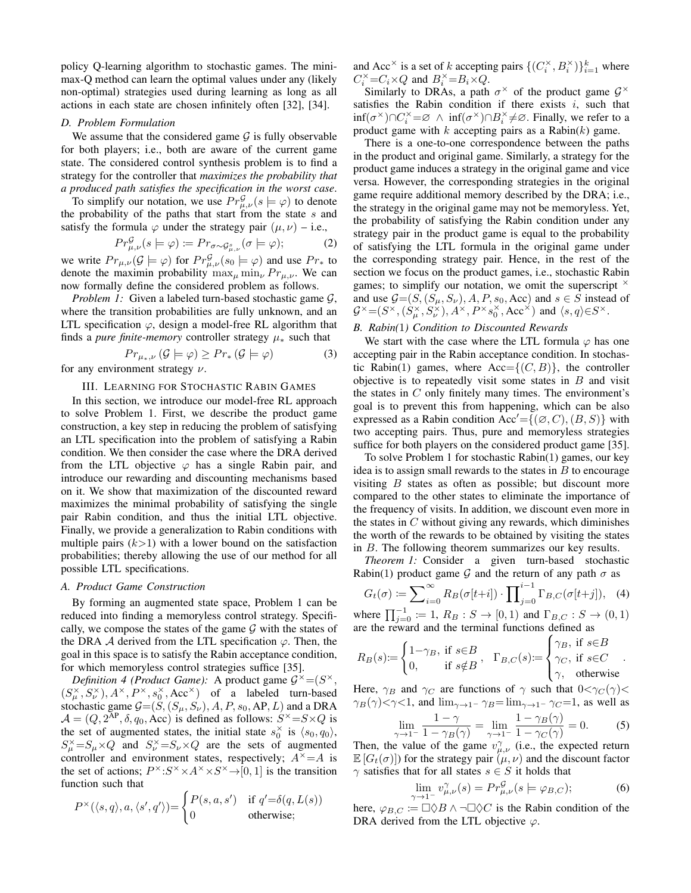policy Q-learning algorithm to stochastic games. The minimax-Q method can learn the optimal values under any (likely non-optimal) strategies used during learning as long as all actions in each state are chosen infinitely often [32], [34].

## *D. Problem Formulation*

We assume that the considered game  $G$  is fully observable for both players; i.e., both are aware of the current game state. The considered control synthesis problem is to find a strategy for the controller that *maximizes the probability that a produced path satisfies the specification in the worst case*.

To simplify our notation, we use  $Pr_{\mu,\nu}^{\mathcal{G}}(s \models \varphi)$  to denote the probability of the paths that start from the state  $s$  and satisfy the formula  $\varphi$  under the strategy pair  $(\mu, \nu)$  – i.e.,

$$
Pr^{\mathcal{G}}_{\mu,\nu}(s \models \varphi) \coloneqq Pr_{\sigma \sim \mathcal{G}^s_{\mu,\nu}}(\sigma \models \varphi); \tag{2}
$$

we write  $Pr_{\mu,\nu}(\mathcal{G} \models \varphi)$  for  $Pr_{\mu,\nu}^{\mathcal{G}}(s_0 \models \varphi)$  and use  $Pr_*$  to denote the maximin probability  $\max_{\mu} \min_{\nu} Pr_{\mu,\nu}$ . We can now formally define the considered problem as follows.

*Problem 1:* Given a labeled turn-based stochastic game  $G$ , where the transition probabilities are fully unknown, and an LTL specification  $\varphi$ , design a model-free RL algorithm that finds a *pure finite-memory* controller strategy  $\mu_*$  such that

$$
Pr_{\mu_*,\nu}(G \models \varphi) \ge Pr_*(G \models \varphi)
$$
\ncomment strategy  $\nu$ 

for any environment strategy  $\nu$ .

## III. LEARNING FOR STOCHASTIC RABIN GAMES

In this section, we introduce our model-free RL approach to solve Problem 1. First, we describe the product game construction, a key step in reducing the problem of satisfying an LTL specification into the problem of satisfying a Rabin condition. We then consider the case where the DRA derived from the LTL objective  $\varphi$  has a single Rabin pair, and introduce our rewarding and discounting mechanisms based on it. We show that maximization of the discounted reward maximizes the minimal probability of satisfying the single pair Rabin condition, and thus the initial LTL objective. Finally, we provide a generalization to Rabin conditions with multiple pairs  $(k>1)$  with a lower bound on the satisfaction probabilities; thereby allowing the use of our method for all possible LTL specifications.

## *A. Product Game Construction*

By forming an augmented state space, Problem 1 can be reduced into finding a memoryless control strategy. Specifically, we compose the states of the game  $G$  with the states of the DRA A derived from the LTL specification  $\varphi$ . Then, the goal in this space is to satisfy the Rabin acceptance condition, for which memoryless control strategies suffice [35].

*Definition 4 (Product Game):* A product game  $G^{\times} = (S^{\times}, G^{\times})$  $(S_{\mu}^{\times}, S_{\nu}^{\times}), A^{\times}, P^{\times}, s_0^{\times}, \text{Acc}^{\times}$  of a labeled turn-based stochastic game  $G=(\tilde{S}, (S_{\mu}, S_{\nu}), A, P, s_0, AP, L)$  and a DRA  $A = (Q, 2^{AP}, \delta, q_0, Acc)$  is defined as follows:  $S^{\times} = S \times Q$  is the set of augmented states, the initial state  $s_0^{\times}$  is  $\langle s_0, q_0 \rangle$ ,  $S_{\mu}^{\times} = S_{\mu} \times Q$  and  $S_{\nu}^{\times} = S_{\nu} \times Q$  are the sets of augmented controller and environment states, respectively;  $A^{\times} = A$  is the set of actions;  $P^{\times}: S^{\times} \times A^{\times} \times S^{\times} \rightarrow [0, 1]$  is the transition function such that

$$
P^{\times}(\langle s, q \rangle, a, \langle s', q' \rangle) = \begin{cases} P(s, a, s') & \text{if } q' = \delta(q, L(s)) \\ 0 & \text{otherwise}; \end{cases}
$$

and Acc<sup>×</sup> is a set of k accepting pairs  $\{(C_i^{\times}, B_i^{\times})\}_{i=1}^k$  where  $C_i^{\times} = C_i \times Q$  and  $B_i^{\times} = B_i \times Q$ .

Similarly to DRAs, a path  $\sigma^{\times}$  of the product game  $\mathcal{G}^{\times}$ satisfies the Rabin condition if there exists  $i$ , such that  $\inf(\sigma^{\times}) \cap C_i^{\times} = \varnothing \land \inf(\sigma^{\times}) \cap B_i^{\times} \neq \varnothing$ . Finally, we refer to a product game with  $k$  accepting pairs as a Rabin $(k)$  game.

There is a one-to-one correspondence between the paths in the product and original game. Similarly, a strategy for the product game induces a strategy in the original game and vice versa. However, the corresponding strategies in the original game require additional memory described by the DRA; i.e., the strategy in the original game may not be memoryless. Yet, the probability of satisfying the Rabin condition under any strategy pair in the product game is equal to the probability of satisfying the LTL formula in the original game under the corresponding strategy pair. Hence, in the rest of the section we focus on the product games, i.e., stochastic Rabin games; to simplify our notation, we omit the superscript  $\times$ and use  $G=(S,(S_\mu, S_\nu), A, P, s_0, Acc)$  and  $s \in S$  instead of  $\mathcal{G}^{\times}=(S^{\times},(S_{\mu}^{\times},S_{\nu}^{\times}),A^{\times},P^{\times}s_{0}^{\times},\text{Acc}^{\times})$  and  $\langle s,q\rangle \in S^{\times}$ .

# *B. Rabin(*1*) Condition to Discounted Rewards*

We start with the case where the LTL formula  $\varphi$  has one accepting pair in the Rabin acceptance condition. In stochastic Rabin(1) games, where  $Acc=\{(C, B)\}\$ , the controller objective is to repeatedly visit some states in  $B$  and visit the states in  $C$  only finitely many times. The environment's goal is to prevent this from happening, which can be also expressed as a Rabin condition  $Acc' = \{(\emptyset, C), (B, S)\}\$  with two accepting pairs. Thus, pure and memoryless strategies suffice for both players on the considered product game [35].

To solve Problem 1 for stochastic Rabin(1) games, our key idea is to assign small rewards to the states in  $B$  to encourage visiting  $B$  states as often as possible; but discount more compared to the other states to eliminate the importance of the frequency of visits. In addition, we discount even more in the states in  $C$  without giving any rewards, which diminishes the worth of the rewards to be obtained by visiting the states in B. The following theorem summarizes our key results.

*Theorem 1:* Consider a given turn-based stochastic Rabin(1) product game G and the return of any path  $\sigma$  as

$$
G_t(\sigma) := \sum_{i=0}^{\infty} R_B(\sigma[t+i]) \cdot \prod_{j=0}^{i-1} \Gamma_{B,C}(\sigma[t+j]), \quad (4)
$$

where  $\prod_{j=0}^{-1} := 1$ ,  $R_B : S \to [0,1)$  and  $\Gamma_{B,C} : S \to (0,1)$ are the reward and the terminal functions defined as

$$
R_B(s) := \begin{cases} 1 - \gamma_B, & \text{if } s \in B \\ 0, & \text{if } s \notin B \end{cases}, \quad \Gamma_{B,C}(s) := \begin{cases} \gamma_B, & \text{if } s \in B \\ \gamma_C, & \text{if } s \in C \\ \gamma, & \text{otherwise} \end{cases}.
$$

Here,  $\gamma_B$  and  $\gamma_C$  are functions of  $\gamma$  such that  $0 < \gamma_C(\gamma) <$  $\gamma_B(\gamma)$  <  $\gamma$  < 1, and  $\lim_{\gamma \to 1^-} \gamma_B = \lim_{\gamma \to 1^-} \gamma_C = 1$ , as well as

$$
\lim_{\gamma \to 1^{-}} \frac{1 - \gamma}{1 - \gamma_B(\gamma)} = \lim_{\gamma \to 1^{-}} \frac{1 - \gamma_B(\gamma)}{1 - \gamma_C(\gamma)} = 0.
$$
 (5)

Then, the value of the game  $v_{\mu,\nu}^{\gamma}$  (i.e., the expected return  $\mathbb{E}[G_t(\sigma)]$  for the strategy pair  $(\mu, \nu)$  and the discount factor  $\gamma$  satisfies that for all states  $s \in S$  it holds that

$$
\lim_{\gamma \to 1^-} v_{\mu,\nu}^{\gamma}(s) = Pr_{\mu,\nu}^{\mathcal{G}}(s \models \varphi_{B,C});\tag{6}
$$

here,  $\varphi_{B,C} \coloneqq \Box \Diamond B \land \neg \Box \Diamond C$  is the Rabin condition of the DRA derived from the LTL objective  $\varphi$ .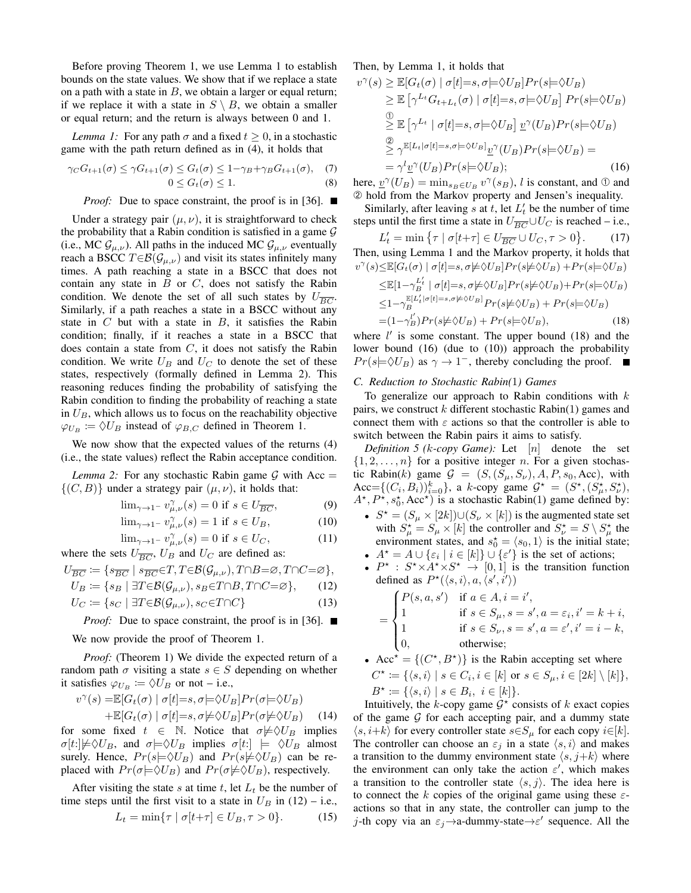Before proving Theorem 1, we use Lemma 1 to establish bounds on the state values. We show that if we replace a state on a path with a state in  $B$ , we obtain a larger or equal return; if we replace it with a state in  $S \setminus B$ , we obtain a smaller or equal return; and the return is always between 0 and 1.

*Lemma 1:* For any path  $\sigma$  and a fixed  $t \geq 0$ , in a stochastic game with the path return defined as in (4), it holds that

$$
\gamma_C G_{t+1}(\sigma) \le \gamma G_{t+1}(\sigma) \le G_t(\sigma) \le 1 - \gamma_B + \gamma_B G_{t+1}(\sigma), \quad (7)
$$
  
 
$$
0 \le G_t(\sigma) \le 1. \quad (8)
$$

*Proof:* Due to space constraint, the proof is in [36]. ■

Under a strategy pair  $(\mu, \nu)$ , it is straightforward to check the probability that a Rabin condition is satisfied in a game  $G$ (i.e., MC  $\mathcal{G}_{\mu,\nu}$ ). All paths in the induced MC  $\mathcal{G}_{\mu,\nu}$  eventually reach a BSCC  $T \in \mathcal{B}(\mathcal{G}_{\mu,\nu})$  and visit its states infinitely many times. A path reaching a state in a BSCC that does not contain any state in  $B$  or  $C$ , does not satisfy the Rabin condition. We denote the set of all such states by  $U_{\overline{BC}}$ . Similarly, if a path reaches a state in a BSCC without any state in  $C$  but with a state in  $B$ , it satisfies the Rabin condition; finally, if it reaches a state in a BSCC that does contain a state from  $C$ , it does not satisfy the Rabin condition. We write  $U_B$  and  $U_C$  to denote the set of these states, respectively (formally defined in Lemma 2). This reasoning reduces finding the probability of satisfying the Rabin condition to finding the probability of reaching a state in  $U_B$ , which allows us to focus on the reachability objective  $\varphi_{U_B} := \Diamond U_B$  instead of  $\varphi_{B,C}$  defined in Theorem 1.

We now show that the expected values of the returns (4) (i.e., the state values) reflect the Rabin acceptance condition.

*Lemma 2:* For any stochastic Rabin game  $G$  with Acc =  $\{(C, B)\}\$  under a strategy pair  $(\mu, \nu)$ , it holds that:

$$
\lim_{\gamma \to 1^{-}} v_{\mu,\nu}^{\gamma}(s) = 0 \text{ if } s \in U_{\overline{BC}},
$$
 (9)

$$
\lim_{\gamma \to 1^{-}} v_{\mu,\nu}^{\gamma}(s) = 1 \text{ if } s \in U_B,
$$
 (10)

$$
\lim_{\gamma \to 1^{-}} v_{\mu,\nu}^{\gamma}(s) = 0 \text{ if } s \in U_C,
$$
\n(11)

where the sets  $U_{\overline{BC}}$ ,  $U_B$  and  $U_C$  are defined as:

$$
U_{\overline{BC}} := \{ s_{\overline{BC}} \mid s_{\overline{BC}} \in T, T \in \mathcal{B}(\mathcal{G}_{\mu,\nu}), T \cap B = \varnothing, T \cap C = \varnothing \},
$$
  
\n
$$
U_B := \{ s_B \mid \exists T \in \mathcal{B}(\mathcal{G}_{\mu,\nu}), s_B \in T \cap B, T \cap C = \varnothing \},
$$
 (12)

$$
U_C \coloneqq \{ s_C \mid \exists T \in \mathcal{B}(\mathcal{G}_{\mu,\nu}), s_C \in T \cap C \} \tag{13}
$$

*Proof:* Due to space constraint, the proof is in [36]. ■

We now provide the proof of Theorem 1.

*Proof:* (Theorem 1) We divide the expected return of a random path  $\sigma$  visiting a state  $s \in S$  depending on whether it satisfies  $\varphi_{U_B} \coloneqq \Diamond \breve{U}_B$  or not – i.e.,

$$
v^{\gamma}(s) = \mathbb{E}[G_t(\sigma) | \sigma[t] = s, \sigma] \Rightarrow \mathcal{O}U_B]Pr(\sigma) = \mathcal{O}U_B
$$
  
 
$$
+ \mathbb{E}[G_t(\sigma) | \sigma[t] = s, \sigma] \Rightarrow \mathcal{O}U_B]Pr(\sigma) = \mathcal{O}U_B
$$
 (14)

for some fixed  $t \in \mathbb{N}$ . Notice that  $\sigma \neq \Diamond U_B$  implies  $\sigma[t:]\not\models \Diamond U_B$ , and  $\sigma\models \Diamond U_B$  implies  $\sigma[t:]\not\models \Diamond U_B$  almost surely. Hence,  $Pr(s\models \Diamond U_B)$  and  $Pr(s\not\models \Diamond U_B)$  can be replaced with  $Pr(\sigma \models \Diamond U_B)$  and  $Pr(\sigma \not\models \Diamond U_B)$ , respectively.

After visiting the state s at time t, let  $L_t$  be the number of time steps until the first visit to a state in  $U_B$  in (12) – i.e.,

$$
L_t = \min\{\tau \mid \sigma[t+\tau] \in U_B, \tau > 0\}.
$$
 (15)

Then, by Lemma 1, it holds that

$$
v^{\gamma}(s) \geq \mathbb{E}[G_t(\sigma) | \sigma[t]=s, \sigma \models \Diamond U_B] Pr(s \models \Diamond U_B)
$$
  
\n
$$
\geq \mathbb{E} [\gamma^{L_t} G_{t+L_t}(\sigma) | \sigma[t]=s, \sigma \models \Diamond U_B] Pr(s \models \Diamond U_B)
$$
  
\n
$$
\supseteq \mathbb{E} [\gamma^{L_t} | \sigma[t]=s, \sigma \models \Diamond U_B] \underline{v}^{\gamma} (U_B) Pr(s \models \Diamond U_B)
$$
  
\n
$$
\supseteq \gamma^{\mathbb{E}[L_t | \sigma[t]=s, \sigma \models \Diamond U_B]} \underline{v}^{\gamma} (U_B) Pr(s \models \Diamond U_B) =
$$
  
\n
$$
= \gamma^{l} \underline{v}^{\gamma} (U_B) Pr(s \models \Diamond U_B);
$$
\n(16)

here,  $\underline{v}^{\gamma}(U_B) = \min_{s_B \in U_B} v^{\gamma}(s_B)$ , l is constant, and  $\Phi$  and ➁ hold from the Markov property and Jensen's inequality.

Similarly, after leaving s at t, let  $L_t$  be the number of time steps until the first time a state in  $U_{\overline{BC}} \cup U_C$  is reached – i.e.,

$$
L'_t = \min \{ \tau \mid \sigma[t+\tau] \in U_{\overline{BC}} \cup U_C, \tau > 0 \}. \tag{17}
$$
  
Then, using Lemma 1 and the Markov property, it holds that  

$$
v^{\gamma}(s) \leq \mathbb{E}[G_t(\sigma) \mid \sigma[t] = s, \sigma \neq \Diamond U_B] Pr(s \neq \Diamond U_B) + Pr(s \models \Diamond U_B)
$$

$$
\leq \mathbb{E}[1 - \gamma_B^{L'_t} \mid \sigma[t] = s, \sigma \neq \Diamond U_B] Pr(s \neq \Diamond U_B) + Pr(s \models \Diamond U_B)
$$

$$
\leq 1 - \gamma_B^{\mathbb{E}[L'_t \mid \sigma[t] = s, \sigma \neq \Diamond U_B]} Pr(s \neq \Diamond U_B) + Pr(s \models \Diamond U_B)
$$

$$
= (1 - \gamma_B') Pr(s \neq \Diamond U_B) + Pr(s \models \Diamond U_B), \tag{18}
$$

where  $l'$  is some constant. The upper bound (18) and the lower bound (16) (due to (10)) approach the probability  $Pr(s\models \Diamond U_B)$  as  $\gamma \to 1^-$ , thereby concluding the proof.  $\mathbf{r}$ 

#### *C. Reduction to Stochastic Rabin(*1*) Games*

To generalize our approach to Rabin conditions with  $k$ pairs, we construct  $k$  different stochastic Rabin(1) games and connect them with  $\varepsilon$  actions so that the controller is able to switch between the Rabin pairs it aims to satisfy.

*Definition 5 (*k*-copy Game):* Let [n] denote the set  $\{1, 2, \ldots, n\}$  for a positive integer n. For a given stochastic Rabin(k) game  $G = (S, (S_\mu, S_\nu), A, P, s_0, Acc)$ , with Acc={ $(C_i, B_i)$ }, a k-copy game  $\mathcal{G}^* = (S^*, (S_\mu^*, S_\nu^*),$  $A^{\star}, P^{\star}, s_0^{\star}, \text{Acc}^{\star}$ ) is a stochastic Rabin(1) game defined by:

- $S^* = (S_\mu \times [2k]) \cup (S_\nu \times [k])$  is the augmented state set with  $S_{\mu}^* = S_{\mu} \times [k]$  the controller and  $S_{\nu}^* = S \setminus S_{\mu}^*$  the environment states, and  $s_0^* = \langle s_0, 1 \rangle$  is the initial state;
- $A^* = A \cup \{\varepsilon_i \mid i \in [k]\} \cup \{\varepsilon'\}$  is the set of actions;
- $P^*$ :  $S^* \times A^* \times S^* \rightarrow [0, 1]$  is the transition function defined as  $P^{\star}(\langle s,i \rangle, a, \langle s',i' \rangle)$

$$
= \begin{cases} P(s, a, s') & \text{if } a \in A, i = i', \\ 1 & \text{if } s \in S_{\mu}, s = s', a = \varepsilon_i, i' = k + i, \\ 1 & \text{if } s \in S_{\nu}, s = s', a = \varepsilon', i' = i - k, \\ 0, & \text{otherwise}; \end{cases}
$$

• Acc<sup>\*</sup> = {
$$
(C^*, B^*)
$$
} is the Rabin accepting set where  
\n $C^* := \{(s, i) | s \in C_i, i \in [k] \text{ or } s \in S_\mu, i \in [2k] \setminus [k]\},$   
\n $B^* := \{(s, i) | s \in B_i, i \in [k]\}.$ 

Intuitively, the  $k$ -copy game  $\mathcal{G}^*$  consists of  $k$  exact copies of the game  $G$  for each accepting pair, and a dummy state  $\langle s, i+k \rangle$  for every controller state  $s \in S_\mu$  for each copy  $i \in [k]$ . The controller can choose an  $\varepsilon_j$  in a state  $\langle s, i \rangle$  and makes a transition to the dummy environment state  $\langle s, j+k \rangle$  where the environment can only take the action  $\varepsilon'$ , which makes a transition to the controller state  $\langle s, j \rangle$ . The idea here is to connect the k copies of the original game using these  $\varepsilon$ actions so that in any state, the controller can jump to the j-th copy via an  $\varepsilon_j \rightarrow$ a-dummy-state $\rightarrow \varepsilon'$  sequence. All the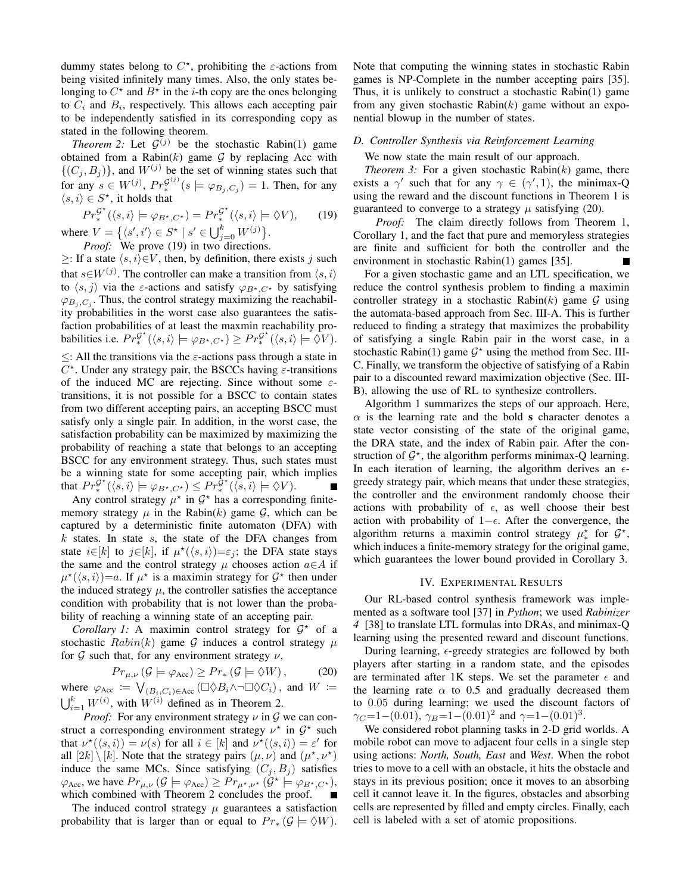dummy states belong to  $C^*$ , prohibiting the  $\varepsilon$ -actions from being visited infinitely many times. Also, the only states belonging to  $C^*$  and  $B^*$  in the *i*-th copy are the ones belonging to  $C_i$  and  $B_i$ , respectively. This allows each accepting pair to be independently satisfied in its corresponding copy as stated in the following theorem.

*Theorem* 2: Let  $G^{(j)}$  be the stochastic Rabin(1) game obtained from a Rabin $(k)$  game  $G$  by replacing Acc with  $\{(C_j, B_j)\}\$ , and  $W^{(j)}$  be the set of winning states such that for any  $s \in W^{(j)}$ ,  $Pr^{G^{(j)}}_*(s \models \varphi_{B_j, C_j}) = 1$ . Then, for any  $\langle s, i \rangle \in S^*$ , it holds that

$$
Pr_{*}^{\mathcal{G}^{\star}}(\langle s,i\rangle \models \varphi_{B^{\star},C^{\star}}) = Pr_{*}^{\mathcal{G}^{\star}}(\langle s,i\rangle \models \Diamond V), \qquad (19)
$$
  
where  $V = \{ \langle s',i'\rangle \in S^{\star} \mid s' \in \bigcup_{j=0}^{k} W^{(j)} \}.$ 

*Proof:* We prove (19) in two directions.

 $\geq$ : If a state  $\langle s, i \rangle \in V$ , then, by definition, there exists j such that  $s \in W^{(j)}$ . The controller can make a transition from  $\langle s, i \rangle$ to  $\langle s, j \rangle$  via the *ε*-actions and satisfy  $\varphi_{B^{\star},C^{\star}}$  by satisfying  $\varphi_{B_j, C_j}$ . Thus, the control strategy maximizing the reachability probabilities in the worst case also guarantees the satisfaction probabilities of at least the maxmin reachability probabilities i.e.  $Pr_{*}^{\mathcal{G}^{\star}}(\langle s,i \rangle \models \varphi_{B^{\star},C^{\star}}) \geq Pr_{*}^{\mathcal{G}^{\star}}(\langle s,i \rangle \models \Diamond V).$  $\leq$ : All the transitions via the  $\varepsilon$ -actions pass through a state in  $C^*$ . Under any strategy pair, the BSCCs having  $\varepsilon$ -transitions of the induced MC are rejecting. Since without some  $\varepsilon$ transitions, it is not possible for a BSCC to contain states from two different accepting pairs, an accepting BSCC must satisfy only a single pair. In addition, in the worst case, the satisfaction probability can be maximized by maximizing the probability of reaching a state that belongs to an accepting BSCC for any environment strategy. Thus, such states must be a winning state for some accepting pair, which implies that  $Pr_{*}^{\mathcal{G}^{\star}}(\langle s,i\rangle \models \varphi_{B^{\star},C^{\star}}) \leq Pr_{*}^{\tilde{\mathcal{G}}^{\star}}(\langle s,i\rangle \models \Diamond V).$ 

Any control strategy  $\mu^*$  in  $\mathcal{G}^*$  has a corresponding finitememory strategy  $\mu$  in the Rabin(k) game  $\mathcal{G}$ , which can be captured by a deterministic finite automaton (DFA) with  $k$  states. In state  $s$ , the state of the DFA changes from state  $i \in [k]$  to  $j \in [k]$ , if  $\mu^*(\langle s, i \rangle) = \varepsilon_j$ ; the DFA state stays the same and the control strategy  $\mu$  chooses action  $a \in A$  if  $\mu^*(\langle s, i \rangle) = a$ . If  $\mu^*$  is a maximin strategy for  $\mathcal{G}^*$  then under the induced strategy  $\mu$ , the controller satisfies the acceptance condition with probability that is not lower than the probability of reaching a winning state of an accepting pair.

Corollary 1: A maximin control strategy for  $G^*$  of a stochastic  $Rabin(k)$  game G induces a control strategy  $\mu$ for  $G$  such that, for any environment strategy  $\nu$ ,

$$
Pr_{\mu,\nu}(\mathcal{G} \models \varphi_{\text{Acc}}) \ge Pr_*(\mathcal{G} \models \Diamond W), \tag{20}
$$

where  $\varphi_{\text{Acc}} := \bigvee_{(B_i, C_i) \in \text{Acc}} (\Box \Diamond B_i \land \neg \Box \Diamond C_i)$ , and  $W :=$  $\bigcup_{i=1}^{k} W^{(i)}$ , with  $W^{(i)}$  defined as in Theorem 2.

*Proof:* For any environment strategy  $\nu$  in  $\mathcal G$  we can construct a corresponding environment strategy  $\nu^*$  in  $\mathcal{G}^*$  such that  $\nu^*(\langle s, i \rangle) = \nu(s)$  for all  $i \in [k]$  and  $\nu^*(\langle s, i \rangle) = \varepsilon'$  for all  $[2k] \setminus [k]$ . Note that the strategy pairs  $(\mu, \nu)$  and  $(\mu^*, \nu^*)$ induce the same MCs. Since satisfying  $(C_i, B_i)$  satisfies  $\varphi_{\text{Acc}}$ , we have  $Pr_{\mu,\nu}(\mathcal{G} \models \varphi_{\text{Acc}}) \ge Pr_{\mu^{\star},\nu^{\star}}(\mathcal{G}^{\star} \models \varphi_{B^{\star},C^{\star}})$ , which combined with Theorem 2 concludes the proof.

The induced control strategy  $\mu$  guarantees a satisfaction probability that is larger than or equal to  $Pr_*(\mathcal{G} \models \Diamond W)$ .

Note that computing the winning states in stochastic Rabin games is NP-Complete in the number accepting pairs [35]. Thus, it is unlikely to construct a stochastic Rabin(1) game from any given stochastic Rabin $(k)$  game without an exponential blowup in the number of states.

# *D. Controller Synthesis via Reinforcement Learning*

We now state the main result of our approach.

*Theorem 3:* For a given stochastic Rabin $(k)$  game, there exists a  $\gamma'$  such that for any  $\gamma \in (\gamma', 1)$ , the minimax-Q using the reward and the discount functions in Theorem 1 is guaranteed to converge to a strategy  $\mu$  satisfying (20).

*Proof:* The claim directly follows from Theorem 1, Corollary 1, and the fact that pure and memoryless strategies are finite and sufficient for both the controller and the environment in stochastic Rabin(1) games [35].

For a given stochastic game and an LTL specification, we reduce the control synthesis problem to finding a maximin controller strategy in a stochastic Rabin $(k)$  game G using the automata-based approach from Sec. III-A. This is further reduced to finding a strategy that maximizes the probability of satisfying a single Rabin pair in the worst case, in a stochastic Rabin(1) game  $G^*$  using the method from Sec. III-C. Finally, we transform the objective of satisfying of a Rabin pair to a discounted reward maximization objective (Sec. III-B), allowing the use of RL to synthesize controllers.

Algorithm 1 summarizes the steps of our approach. Here,  $\alpha$  is the learning rate and the bold s character denotes a state vector consisting of the state of the original game, the DRA state, and the index of Rabin pair. After the construction of  $\mathcal{G}^*$ , the algorithm performs minimax-Q learning. In each iteration of learning, the algorithm derives an  $\epsilon$ greedy strategy pair, which means that under these strategies, the controller and the environment randomly choose their actions with probability of  $\epsilon$ , as well choose their best action with probability of  $1-\epsilon$ . After the convergence, the algorithm returns a maximin control strategy  $\mu^*$  for  $\mathcal{G}^*$ , which induces a finite-memory strategy for the original game, which guarantees the lower bound provided in Corollary 3.

# IV. EXPERIMENTAL RESULTS

Our RL-based control synthesis framework was implemented as a software tool [37] in *Python*; we used *Rabinizer 4* [38] to translate LTL formulas into DRAs, and minimax-Q learning using the presented reward and discount functions.

During learning,  $\epsilon$ -greedy strategies are followed by both players after starting in a random state, and the episodes are terminated after 1K steps. We set the parameter  $\epsilon$  and the learning rate  $\alpha$  to 0.5 and gradually decreased them to 0.05 during learning; we used the discount factors of  $\gamma_C = 1 - (0.01)$ ,  $\gamma_B = 1 - (0.01)^2$  and  $\gamma = 1 - (0.01)^3$ .

We considered robot planning tasks in 2-D grid worlds. A mobile robot can move to adjacent four cells in a single step using actions: *North, South, East* and *West*. When the robot tries to move to a cell with an obstacle, it hits the obstacle and stays in its previous position; once it moves to an absorbing cell it cannot leave it. In the figures, obstacles and absorbing cells are represented by filled and empty circles. Finally, each cell is labeled with a set of atomic propositions.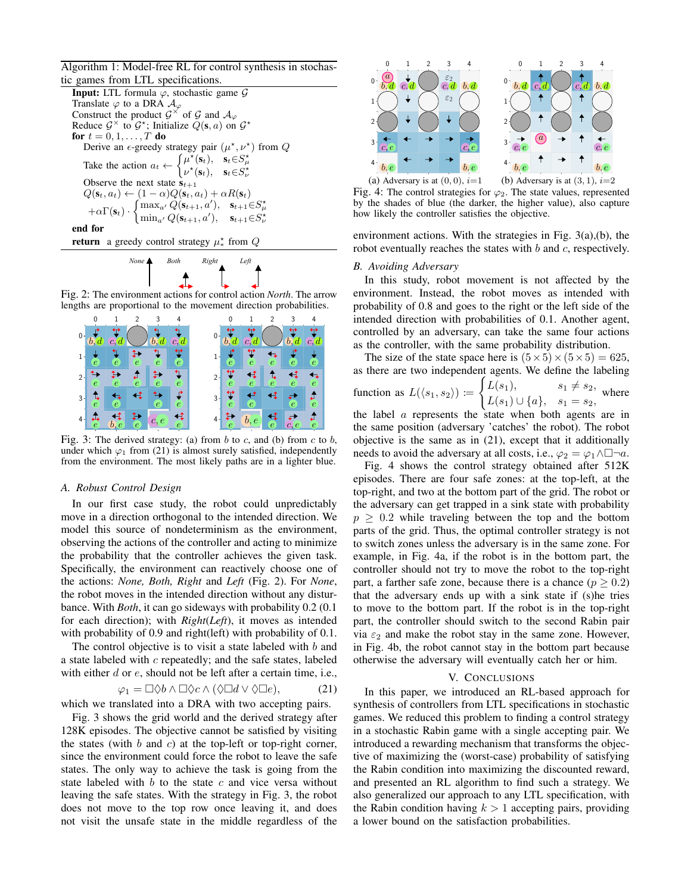Algorithm 1: Model-free RL for control synthesis in stochastic games from LTL specifications.

| <b>Input:</b> LTL formula $\varphi$ , stochastic game $\mathcal G$                                                                                                                                             |
|----------------------------------------------------------------------------------------------------------------------------------------------------------------------------------------------------------------|
| Translate $\varphi$ to a DRA $\mathcal{A}_{\varphi}$                                                                                                                                                           |
| Construct the product $\mathcal{G}^{\times}$ of $\mathcal{G}$ and $\mathcal{A}_{\varphi}$                                                                                                                      |
| Reduce $\mathcal{G}^{\times}$ to $\mathcal{G}^{\star}$ ; Initialize $Q(\mathbf{s}, a)$ on $\mathcal{G}^{\star}$                                                                                                |
| for $t = 0, 1, \ldots, T$ do                                                                                                                                                                                   |
| Derive an $\epsilon$ -greedy strategy pair $(\mu^*, \nu^*)$ from Q                                                                                                                                             |
| Take the action $a_t \leftarrow \begin{cases} \mu^{\star}(\mathbf{s}_t), & \mathbf{s}_t \in S_{\mu}^{\star} \\ \nu^{\star}(\mathbf{s}_t), & \mathbf{s}_t \in S_{\mu}^{\star} \end{cases}$                      |
| Observe the next state $s_{t+1}$                                                                                                                                                                               |
| $Q(\mathbf{s}_t, a_t) \leftarrow (1-\alpha)Q(\mathbf{s}_t, a_t) + \alpha R(\mathbf{s}_t)$                                                                                                                      |
| $+ \alpha \Gamma(\mathbf{s}_t) \cdot \begin{cases} \max_{a'} Q(\mathbf{s}_{t+1}, a'), & \mathbf{s}_{t+1} \in S^\star_\mu \\ \min_{a'} Q(\mathbf{s}_{t+1}, a'), & \mathbf{s}_{t+1} \in S^\star_\nu \end{cases}$ |
| end for                                                                                                                                                                                                        |
| <b>return</b> a greedy control strategy $\mu^*$ from Q                                                                                                                                                         |



Fig. 2: The environment actions for control action *North*. The arrow lengths are proportional to the movement direction probabilities.



Fig. 3: The derived strategy: (a) from  $b$  to  $c$ , and (b) from  $c$  to  $b$ , under which  $\varphi_1$  from (21) is almost surely satisfied, independently from the environment. The most likely paths are in a lighter blue.

# *A. Robust Control Design*

In our first case study, the robot could unpredictably move in a direction orthogonal to the intended direction. We model this source of nondeterminism as the environment, observing the actions of the controller and acting to minimize the probability that the controller achieves the given task. Specifically, the environment can reactively choose one of the actions: *None, Both, Right* and *Left* (Fig. 2). For *None*, the robot moves in the intended direction without any disturbance. With *Both*, it can go sideways with probability 0.2 (0.1 for each direction); with *Right*(*Left*), it moves as intended with probability of 0.9 and right(left) with probability of 0.1.

The control objective is to visit a state labeled with  $b$  and a state labeled with c repeatedly; and the safe states, labeled with either  $d$  or  $e$ , should not be left after a certain time, i.e.,

$$
\varphi_1 = \Box \Diamond b \land \Box \Diamond c \land (\Diamond \Box d \lor \Diamond \Box e), \tag{21}
$$

which we translated into a DRA with two accepting pairs.

Fig. 3 shows the grid world and the derived strategy after 128K episodes. The objective cannot be satisfied by visiting the states (with  $b$  and  $c$ ) at the top-left or top-right corner, since the environment could force the robot to leave the safe states. The only way to achieve the task is going from the state labeled with  $b$  to the state  $c$  and vice versa without leaving the safe states. With the strategy in Fig. 3, the robot does not move to the top row once leaving it, and does not visit the unsafe state in the middle regardless of the



Fig. 4: The control strategies for  $\varphi_2$ . The state values, represented by the shades of blue (the darker, the higher value), also capture how likely the controller satisfies the objective.

environment actions. With the strategies in Fig. 3(a),(b), the robot eventually reaches the states with  $b$  and  $c$ , respectively.

## *B. Avoiding Adversary*

In this study, robot movement is not affected by the environment. Instead, the robot moves as intended with probability of 0.8 and goes to the right or the left side of the intended direction with probabilities of 0.1. Another agent, controlled by an adversary, can take the same four actions as the controller, with the same probability distribution.

The size of the state space here is  $(5 \times 5) \times (5 \times 5) = 625$ , as there are two independent agents. We define the labeling function as  $L(\langle s_1, s_2 \rangle) :=$  $\int L(s_1), \hspace{1cm} s_1 \neq s_2,$  $L(s_1) \cup \{a\}, \quad s_1 = s_2,$  where the label  $\alpha$  represents the state when both agents are in the same position (adversary 'catches' the robot). The robot objective is the same as in (21), except that it additionally needs to avoid the adversary at all costs, i.e.,  $\varphi_2 = \varphi_1 \wedge \Box \neg a$ .

Fig. 4 shows the control strategy obtained after 512K episodes. There are four safe zones: at the top-left, at the top-right, and two at the bottom part of the grid. The robot or the adversary can get trapped in a sink state with probability  $p \geq 0.2$  while traveling between the top and the bottom parts of the grid. Thus, the optimal controller strategy is not to switch zones unless the adversary is in the same zone. For example, in Fig. 4a, if the robot is in the bottom part, the controller should not try to move the robot to the top-right part, a farther safe zone, because there is a chance ( $p \geq 0.2$ ) that the adversary ends up with a sink state if (s)he tries to move to the bottom part. If the robot is in the top-right part, the controller should switch to the second Rabin pair via  $\varepsilon_2$  and make the robot stay in the same zone. However, in Fig. 4b, the robot cannot stay in the bottom part because otherwise the adversary will eventually catch her or him.

#### V. CONCLUSIONS

In this paper, we introduced an RL-based approach for synthesis of controllers from LTL specifications in stochastic games. We reduced this problem to finding a control strategy in a stochastic Rabin game with a single accepting pair. We introduced a rewarding mechanism that transforms the objective of maximizing the (worst-case) probability of satisfying the Rabin condition into maximizing the discounted reward, and presented an RL algorithm to find such a strategy. We also generalized our approach to any LTL specification, with the Rabin condition having  $k > 1$  accepting pairs, providing a lower bound on the satisfaction probabilities.